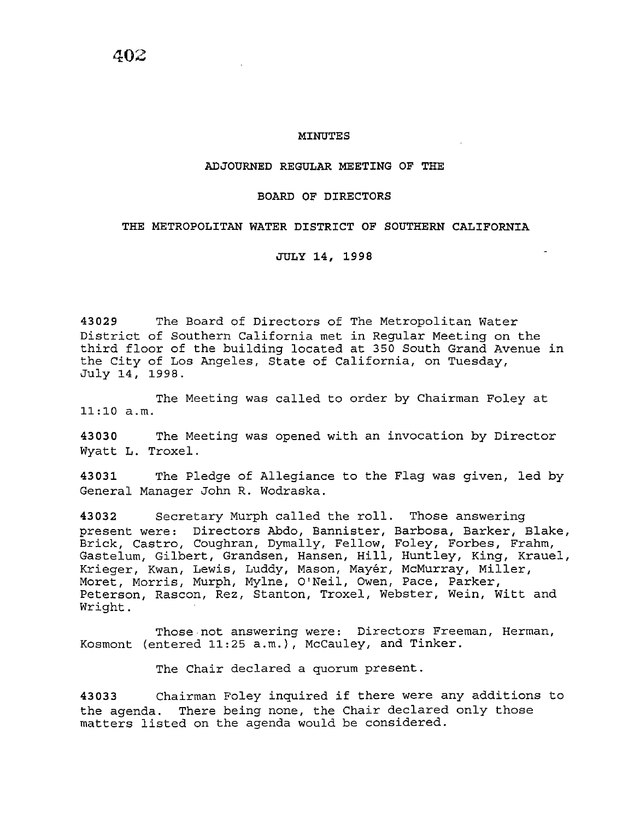402

## MINUTES

## ADJOURNED REGULAR MEETING OF THE

## BOARD OF DIRECTORS

## THE METROPOLITAN WATER DISTRICT OF SOUTHERN CALIFORNIA

JULY 14, 1998

43029 The Board of Directors of The Metropolitan Water District of Southern California met in Regular Meeting on the third floor of the building located at 350 South Grand Avenue in the City of Los Angeles, State of California, on Tuesday, July 14, 1998.

The Meeting was called to order by Chairman Foley at 11:10 a.m.

43030 The Meeting was opened with an invocation by Director Wyatt L. Troxel.

43031 The Pledge of Allegiance to the Flag was given, led by General Manager John R. Wodraska.

43032 Secretary Murph called the roll. Those answering present were: Directors Abdo, Bannister, Barbosa, Barker, Blake, Brick, Castro, Coughran, Dymally, Fellow, Foley, Forbes, Frahm, Gastelum, Gilbert, Grandsen, Hansen, Hill, Huntley, King, Krauel, Krieger, Kwan, Lewis, Luddy, Mason, Mayér, McMurray, Miller, Moret, Morris, Murph, Mylne, O'Neil, Owen, Pace, Parker, Peterson, Rascon, Rez, Stanton, Troxel, Webster, Wein, Witt and Wright.

Those not answering were: Directors Freeman, Herman, Kosmont (entered 11:25 a.m.), McCauley, and Tinker.

The Chair declared a quorum present.

43033 Chairman Foley inquired if there were any additions to the agenda. There being none, the Chair declared only those matters listed on the agenda would be considered.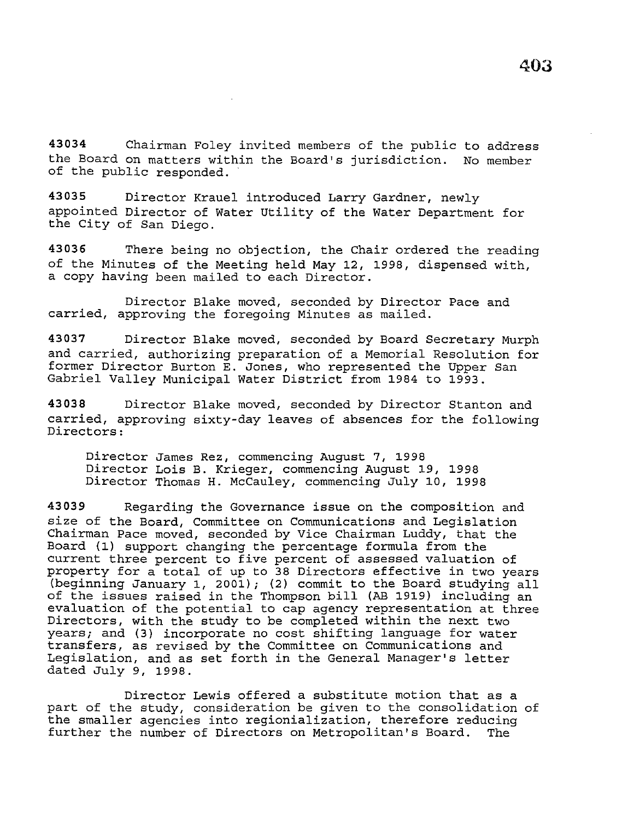**43034** Chairman Foley invited members of the public to address the Board on matters within the Board's jurisdiction. No member of the public responded.

**43035** Director Krauel introduced Larry Gardner, newly appointed Director of Water Utility of the Water Department for the City of San Diego.

**43036** There being no objection, the Chair ordered the reading of the Minutes of the Meeting held May 12, 1998, dispensed with, a copy having been mailed to each Director.

Director Blake moved, seconded by Director Pace and carried, approving the foregoing Minutes as mailed.

**43037** Director Blake moved, seconded by Board Secretary Murph and carried, authorizing preparation of a Memorial Resolution for former Director Burton E. Jones, who represented the Upper San Gabriel Valley Municipal Water District from 1984 to 1993.

**43038** Director Blake moved, seconded by Director Stanton and carried, approving sixty-day leaves of absences for the following Directors:

Director James Rez, commencing August 7, 1998 Director Lois B. Krieger, commencing August 19, 1998 Director Thomas H. McCauley, commencing July 10, 1998

**43039** Regarding the Governance issue on the composition and size of the Board, Committee on Communications and Legislation Chairman Pace moved, seconded by Vice Chairman Luddy, that the Board (1) support changing the percentage formula from the current three percent to five percent of assessed valuation of property for a total of up to 38 Directors effective in two years (beginning January 1, 2001); (2) commit to the Board studying all of the issues raised in the Thompson bill (AB 1919) including an evaluation of the potential to cap agency representation at three Directors, with the study to be completed within the next two years; and (3) incorporate no cost shifting language for water transfers, as revised by the Committee on Communications and Legislation, and as set forth in the General Manager's letter dated July 9, 1998.

Director Lewis offered a substitute motion that as a part of the study, consideration be given to the consolidation of the smaller agencies into regionialization, therefore reducing<br>further the number of Directors on Metropolitan's Board. The further the number of Directors on Metropolitan's Board.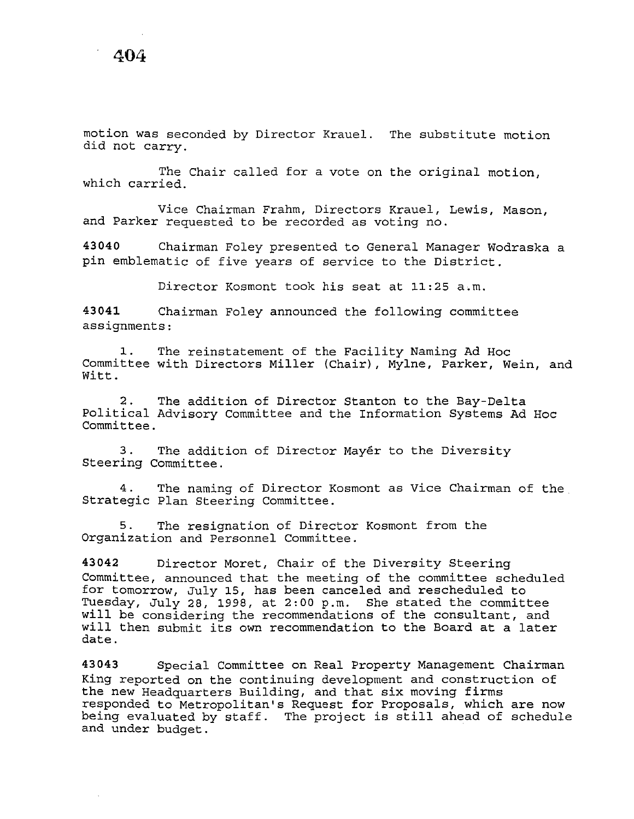motion was seconded by Director Krauel. The substitute motion did not carry.

The Chair called for a vote on the original motion, which carried.

Vice Chairman Frahm, Directors Krauel, Lewis, Mason, and Parker requested to be recorded as voting no.

**43040** Chairman Foley presented to General Manager Wodraska a pin emblematic of five years of service to the District.

Director Kosmont took his seat at 11:25 a.m.

**43041** Chairman Foley announced the following committee assignments:

1. The reinstatement of the Facility Naming Ad Hoc Committee with Directors Miller (Chair), Mylne, Parker, Wein, and Witt.

2. The addition of Director Stanton to the Bay-Delta Political Advisory Committee and the Information Systems Ad Hoc Committee.

3. The addition of Director Mayer to the Diversity Steering Committee.

4. The naming of Director Kosmont as Vice Chairman of the Strategic Plan Steering Committee.

5. The resignation of Director Kosmont from the Organization and Personnel Committee.

**43042** Director Moret, Chair of the Diversity Steering Committee, announced that the meeting of the committee scheduled for tomorrow, July 15, has been canceled and rescheduled to Tuesday, July 28, 1998, at 2:00 p.m. She stated the committee will be considering the recommendations of the consultant, and will then submit its own recommendation to the Board at a later date.

**43043** Special Committee on Real Property Management Chairman King reported on the continuing development and construction of the new Headquarters Building, and that six moving firms responded to Metropolitan's Request for Proposals, which are now being evaluated by staff. The project is still ahead of schedule and under budget.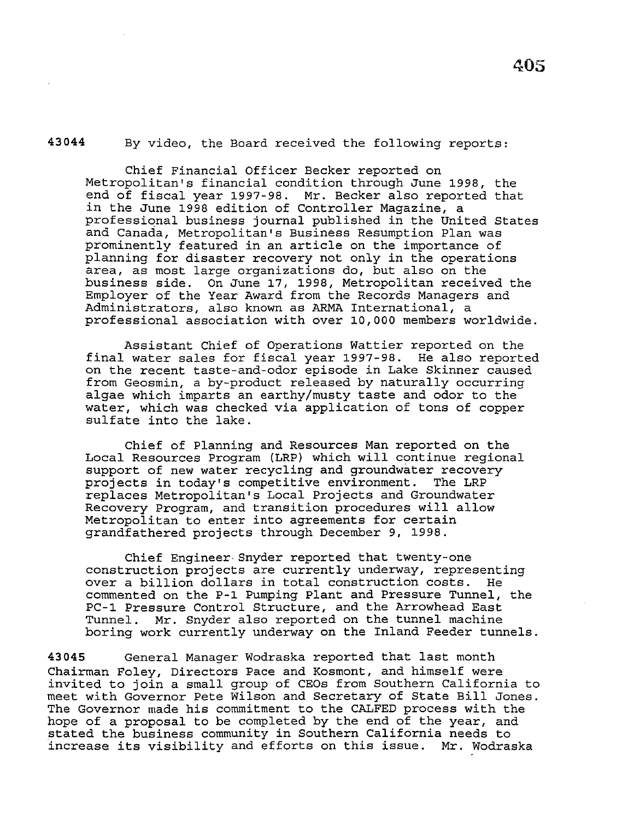By video, the Board received the following reports:

**43044** 

Chief Financial Officer Becker reported on Metropolitan's financial condition through June 1998, the end of fiscal year 1997-98. Mr. Becker also reported that in the June 1998 edition of Controller Magazine, a professional business journal published in the United States and Canada, Metropolitan's Business Resumption Plan was prominently featured in an article on the importance of planning for disaster recovery not only in the operations area, as most large organizations do, but also on the business side. On June 17, 1998, Metropolitan received the Employer of the Year Award from the Records Managers and Administrators, also known as ARMA International, a professional association with over 10,000 members worldwide.

Assistant Chief of Operations Wattier reported on the final water sales for fiscal year 1997-98. He also reported on the recent taste-and-odor episode in Lake Skinner caused from Geosmin, a by-product released by naturally occurring algae which imparts an earthy/musty taste and odor to the water, which was checked via application of tons of copper sulfate into the lake.

Chief of Planning and Resources Man reported on the Local Resources Program (LRP) which will continue regional support of new water recycling and groundwater recovery projects in today's competitive environment. The LRP replaces Metropolitan's Local Projects and Groundwater Recovery Program, and transition procedures will allow Metropolitan to enter into agreements for certain grandfathered projects through December 9, 1998.

Chief Engineer Snyder reported that twenty-one construction projects are currently underway, representing over a billion dollars in total construction costs. He commented on the P-1 Pumping Plant and Pressure Tunnel, the PC-1 Pressure Control Structure, and the Arrowhead East Tunnel. Mr. Snyder also reported on the tunnel machine boring work currently underway on the Inland Feeder tunnels.

**43045** General Manager Wodraska reported that last month Chairman Foley, Directors Pace and Kosmont, and himself were invited to join a small group of CEOs from Southern California to meet with Governor Pete Wilson and Secretary of State Bill Jones. The Governor made his commitment to the CALFED process with the hope of a proposal to be completed by the end of the year, and stated the business community in Southern California needs to increase its visibility and efforts on this issue. Mr. Wodraska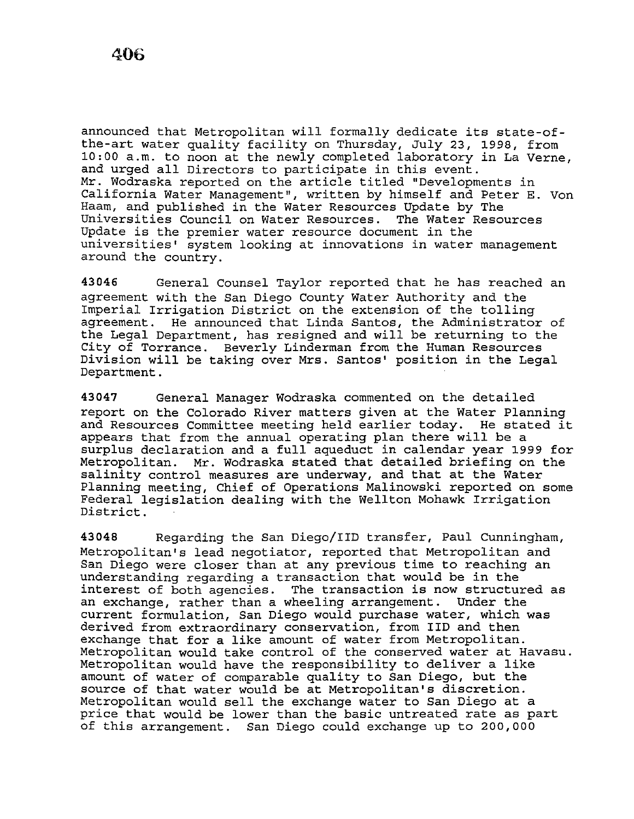announced that Metropolitan will formally dedicate its state-ofthe-art water quality facility on Thursday, July 23, 1998, from 10:00 a.m. to noon at the newly completed laboratory in La Verne, and urged all Directors to participate in this event. Mr. Wodraska reported on the article titled "Developments in California Water Management", written by himself and Peter E. Von Haam, and published in the Water Resources Update by The<br>Universities Council on Water Resources. The Water Resources Universities Council on Water Resources. Update is the premier water resource document in the universities' system looking at innovations in water management around the country.

**43046** General Counsel Taylor reported that he has reached an agreement with the San Diego County Water Authority and the Imperial Irrigation District on the extension of the tolling agreement. He announced that Linda Santos, the Administrator of the Legal Department, has resigned and will be returning to the City of Torrance. Beverly Linderman from the Human Resources Division will be taking over Mrs. Santos' position in the Legal Department.

**43047** General Manager Wodraska commented on the detailed report on the Colorado River matters given at the Water Planning and Resources Committee meeting held earlier today. He stated it appears that from the annual operating plan there will be a surplus declaration and a full aqueduct in calendar year 1999 for Metropolitan. Mr. Wodraska stated that detailed briefing on the salinity control measures are underway, and that at the Water Planning meeting, Chief of Operations Malinowski reported on some Federal legislation dealing with the Wellton Mohawk Irrigation District.

**43048** Regarding the San Diego/IID transfer, Paul Cunningham, Metropolitan's lead negotiator, reported that Metropolitan and San Diego were closer than at any previous time to reaching an understanding regarding a transaction that would be in the interest of both agencies. The transaction is now structured as<br>an exchange, rather than a wheeling arrangement. Under the an exchange, rather than a wheeling arrangement. current formulation, San Diego would purchase water, which was derived from extraordinary conservation, from IID and then exchange that for a like amount of water from Metropolitan. Metropolitan would take control of the conserved water at Havasu. Metropolitan would have the responsibility to deliver a like amount of water of comparable quality to San Diego, but the source of that water would be at Metropolitan's discretion. Metropolitan would sell the exchange water to San Diego at a price that would be lower than the basic untreated rate as part of this arrangement. San Diego could exchange up to 200,000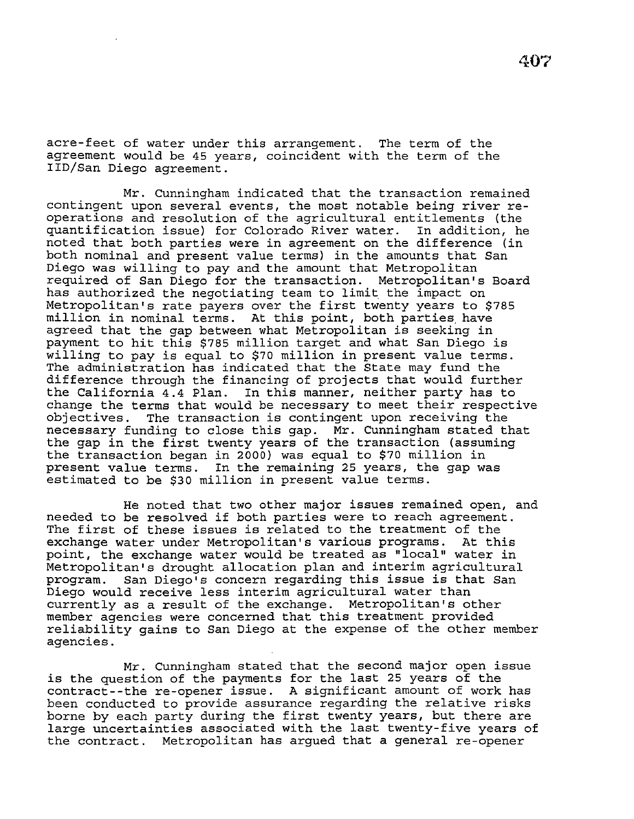acre-feet of water under this arrangement. The term of the agreement would be 45 years, coincident with the term of the IID/San Diego agreement.

Mr. Cunningham indicated that the transaction remained contingent upon several events, the most notable being river reoperations and resolution of the agricultural entitlements (the quantification issue) for Colorado River water. In addition, he noted that both parties were in agreement on the difference (in both nominal and present value terms) in the amounts that San Diego was willing to pay and the amount that Metropolitan required of San Diego for the transaction. Metropolitan's Board has authorized the negotiating team to limit the impact on Metropolitan's rate payers over the first twenty years to \$785 million in nominal terms. At this point, both parties have agreed that the gap between what Metropolitan is seeking in payment to hit this \$785 million target and what San Diego is willing to pay is equal to \$70 million in present value terms. The administration has indicated that the State may fund the difference through the financing of projects that would further the California 4.4 Plan. In this manner, neither party has to change the terms that would be necessary to meet their respective<br>objectives. The transaction is contingent upon receiving the The transaction is contingent upon receiving the necessary funding to close this gap. Mr. Cunningham stated that the gap in the first twenty years of the transaction (assuming the transaction began in 2000) was equal to \$70 million in present value terms. In the remaining 25 years, the gap was estimated to be \$30 million in present value terms.

He noted that two other major issues remained open, and needed to be resolved if both parties were to reach agreement. The first of these issues is related to the treatment of the<br>exchange water under Metropolitan's various programs. At this exchange water under Metropolitan's various programs. point, the exchange water would be treated as "local" water in Metropolitan's drought allocation plan and interim agricultural<br>program. San Diego's concern regarding this issue is that San San Diego's concern regarding this issue is that San Diego would receive less interim agricultural water than currently as a result of the exchange. Metropolitan's other member agencies were concerned that this treatment provided reliability gains to San Diego at the expense of the other member agencies.

Mr. Cunningham stated that the second major open issue is the question of the payments for the last 25 years of the contract--the re-opener issue. A significant amount of work has been conducted to provide assurance regarding the relative risks borne by each party during the first twenty years, but there are large uncertainties associated with the last twenty-five years of the contract. Metropolitan has argued that a general re-opener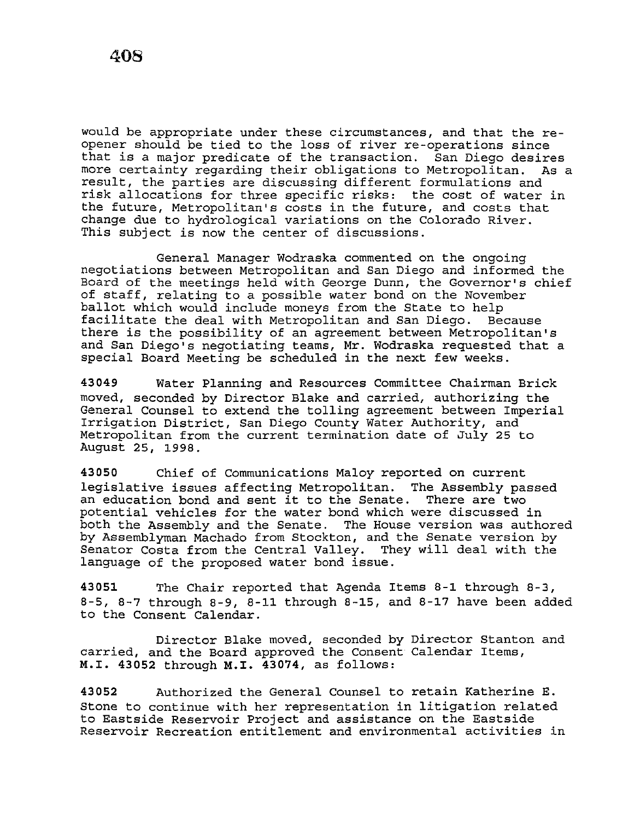would be appropriate under these circumstances, and that the reopener should be tied to the loss of river re-operations since that is a major predicate of the transaction. San Diego desires more certainty regarding their obligations to Metropolitan. result, the parties are discussing different formulations and risk allocations for three specific risks: the cost of water in the future, Metropolitan's costs in the future, and costs that change due to hydrological variations on the Colorado River. This subject *is* now the center of discussions.

General Manager Wodraska commented on the ongoing negotiations between Metropolitan and San Diego and informed the Board of the meetings held with George Dunn, the Governor's chief of staff, relating to a possible water bond on the November ballot which would include moneys from the State to help<br>facilitate the deal with Metropolitan and San Diego. Because facilitate the deal with Metropolitan and San Diego. there is the possibility of an agreement between Metropolitan's and San Diego's negotiating teams, Mr. Wodraska requested that a special Board Meeting be scheduled *in* the next few weeks.

**43049** Water Planning and Resources Committee Chairman Brick moved, seconded by Director Blake and carried, authorizing the General Counsel to extend the tolling agreement between Imperial Irrigation District, San Diego County Water Authority, and Metropolitan from the current termination date of July 25 to August 25, 1998.

**43050** Chief of Communications Maloy reported on current legislative issues affecting Metropolitan. The Assembly passed an education bond and sent it to the Senate. There are two potential vehicles for the water bond which were discussed in both the Assembly and the Senate. The House version was authored by Assemblyman Machado from Stockton, and the Senate version by Senator Costa from the Central Valley. They will deal with the language of the proposed water bond *issue.* 

**43051** The Chair reported that Agenda Items 8-1 through 8-3, 8-5, 8-7 through 8-9, 8-11 through 8-15, and 8-17 have been added to the Consent Calendar.

Director Blake moved, seconded by Director Stanton and carried, and the Board approved the Consent Calendar Items, **M.I. 43052** through **M.I. 43074,** as follows:

**43052** Authorized the General Counsel to retain Katherine E. Stone to continue with her representation in litigation related to Eastside Reservoir Project and assistance on the Eastside Reservoir Recreation entitlement and environmental activities in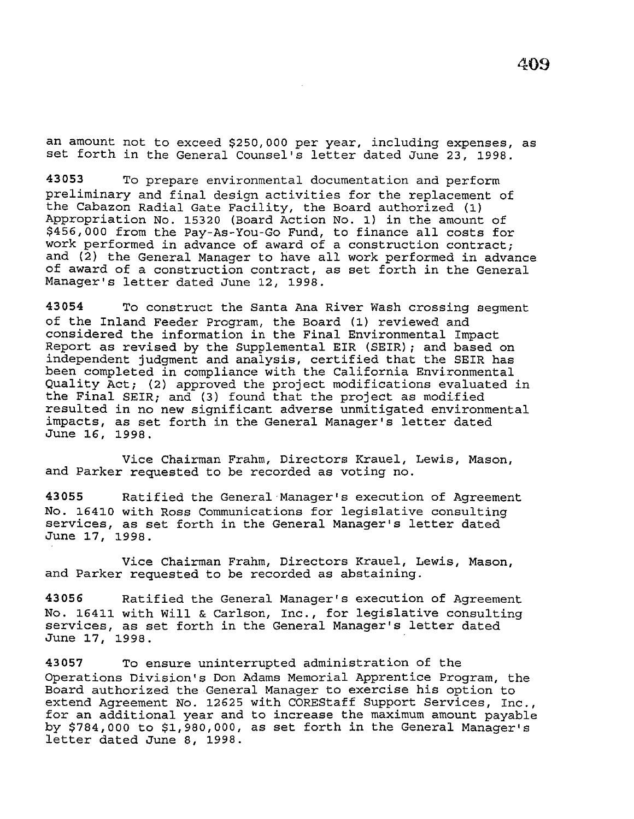an amount not to exceed \$250,000 per year, including expenses, as set forth in the General Counsel's letter dated June 23, 1998.

**43053** To prepare environmental documentation and perform preliminary and final design activities for the replacement of the Cabazon Radial Gate Facility, the Board authorized (1) Appropriation No. 15320 (Board Action No. 1) in the amount of \$456,000 from the Pay-As-You-Go Fund, to finance all costs for work performed in advance of award of a construction contract; and (2) the General Manager to have all work performed in advance of award of a construction contract, as set forth in the General Manager's letter dated June 12, 1998.

**43054** To construct the Santa Ana River Wash crossing segment of the Inland Feeder Program, the Board (1) reviewed and considered the information in the Final Environmental Impact Report as revised by the Supplemental EIR (SEIR); and based on independent judgment and analysis, certified that the SEIR has been completed in compliance with the California Environmental Quality Act; {2) approved the project modifications evaluated in the Final SEIR; and  $(3)$  found that the project as modified resulted in no new significant adverse unmitigated environmental impacts, as set forth in the General Manager's letter dated June 16, 1998.

Vice Chairman Frahm, Directors Krauel, Lewis, Mason, and Parker requested to be recorded as voting no.

**43055** Ratified the General Manager's execution of Agreement No. 16410 with Ross Communications for legislative consulting services, as set forth in the General Manager's letter dated June 17, 1998.

Vice Chairman Frahm, Directors Krauel, Lewis, Mason, and Parker requested to be recorded as abstaining.

**43056** Ratified the General Manager's execution of Agreement No. 16411 with Will & Carlson, Inc., for legislative consulting services, as set forth in the General Manager's letter dated June 17, 1998.

**43057** To ensure uninterrupted administration of the Operations Division's Don Adams Memorial Apprentice Program, the Board authorized the General Manager to exercise *his* option to extend Agreement No. 12625 with COREStaff Support Services, Inc., for an additional year and to increase the maximum amount payable by \$784,000 to \$1,980,000, as set forth in the General Manager's letter dated June 8, 1998.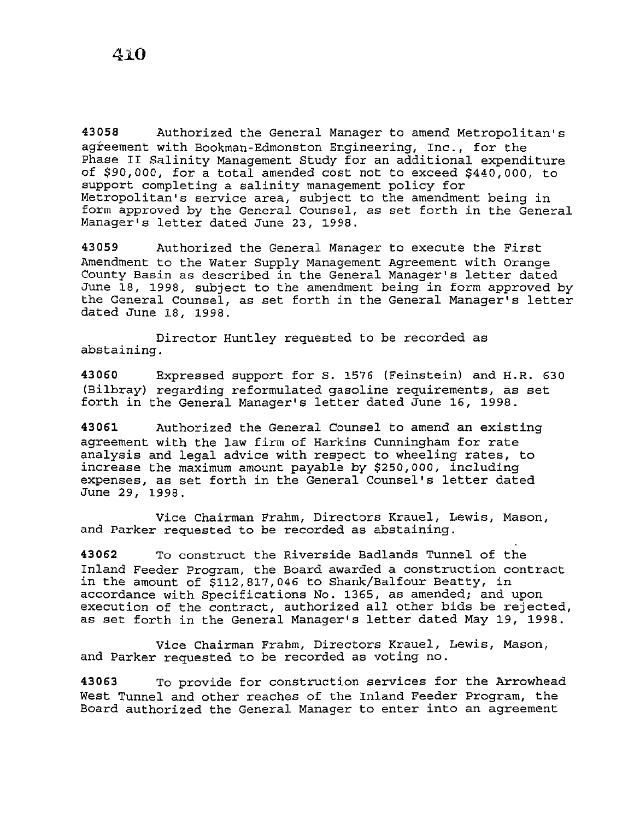**43058** Authorized the General Manager to amend Metropolitan's agreement with Bookman-Edmonston Engineering, Inc., for the Phase II Salinity Management Study for an additional expenditure of *\$9010001* for a total amended cost not to exceed \$440 <sup>1</sup> 000, to support completing a salinity management policy for Metropolitan's service area, subject to the amendment being in form approved by the General Counsel, as set forth in the General Manager's letter dated June 23, 1998.

**43059** Authorized the General Manager to execute the First Amendment to the Water Supply Management Agreement with Orange County Basin as described in the General Manager's letter dated June 18, 1998, subject to the amendment being in form approved by the General Counsel, as set forth in the General Manager's letter dated June 18, 1998.

Director Huntley requested to be recorded as abstaining.

**43060** Expressed support for s. 1576 (Feinstein) and H.R. 630 (Bilbray) regarding reformulated gasoline requirements, as set forth in the General Manager's letter dated June 16, 1998.

**43061** Authorized the General Counsel to amend an existing agreement with the law firm of Harkins Cunningham for rate analysis and legal advice with respect to wheeling rates, to increase the maximum amount payable by \$250,000, including expenses, as set forth in the General Counsel's letter dated June 29, 1998.

Vice Chairman Frahm, Directors Krauel, Lewis, Mason, and Parker requested to be recorded as abstaining.

**43062** To construct the Riverside Badlands Tunnel of the Inland Feeder Program, the Board awarded a construction contract in the amount of  $$112,817,046$  to Shank/Balfour Beatty, in accordance with Specifications No. 1365, as amended; and upon execution of the contract, authorized all other bids be rejected, as set forth in the General Manager's letter dated May 19, 1998.

Vice Chairman Frahm, Directors Krauel, Lewis, Mason, and Parker requested to be recorded as voting no.

**43063** To provide for construction services for the Arrowhead West Tunnel and other reaches of the Inland Feeder Program, the Board authorized the General Manager to enter into an agreement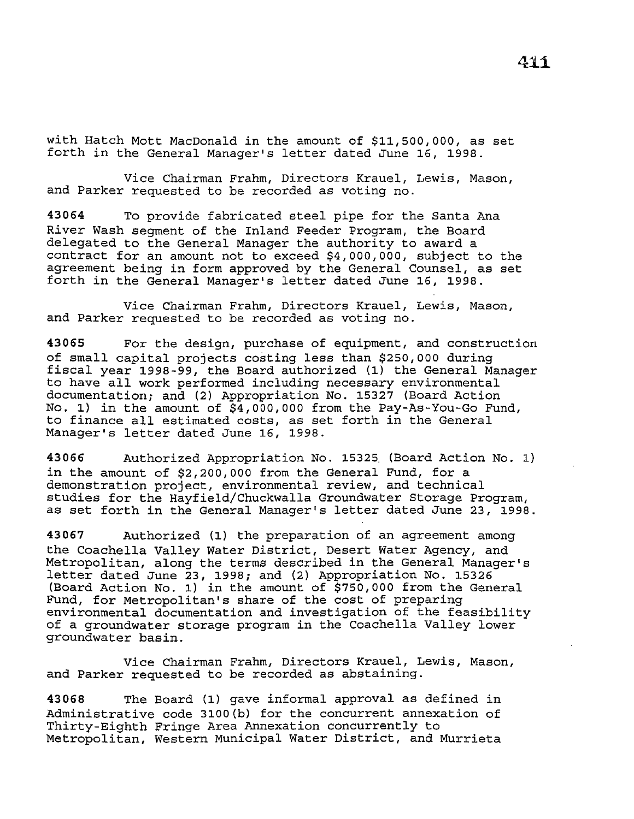with Hatch Mott MacDonald in the amount of \$11,500,000, as set forth in the General Manager's letter dated June 16, 1998.

Vice Chairman Frahm, Directors Krauel, Lewis, Mason, and Parker requested to be recorded as voting no.

**43064** To provide fabricated steel pipe for the Santa Ana River Wash segment of the Inland Feeder Program, the Board delegated to the General Manager the authority to award a contract for an amount not to exceed \$4,000,000, subject to the agreement being in form approved by the General Counsel, as set forth in the General Manager's letter dated June 16, 1998.

Vice Chairman Frahm, Directors Krauel, Lewis, Mason, and Parker requested to be recorded as voting no.

**43065** For the design, purchase of equipment, and construction of small capital projects costing less than \$250,000 during fiscal year 1998-99, the Board authorized (1) the General Manager to have all work performed including necessary environmental documentation; and (2) Appropriation No. 15327 (Board Action No. 1) in the amount of \$4,000,000 from the Pay-As-You-Go Fund, to finance all estimated costs, as set forth in the General Manager's letter dated June 16, 1998.

**43066** Authorized Appropriation No. 15325. (Board Action No. 1) in the amount of \$2,200,000 from the General Fund, for a demonstration project, environmental review, and technical studies for the Hayfield/Chuckwalla Groundwater Storage Program, as set forth in the General Manager's letter dated June 23, 1998.

**43067** Authorized (1) the preparation of an agreement among the Coachella Valley Water District, Desert Water Agency, and Metropolitan, along the terms described in the General Manager's letter dated June 23, 1998; and (2) Appropriation No. 15326 (Board Action No. 1) in the amount of \$750,000 from the General Fund, for Metropolitan's share of the cost of preparing environmental documentation and investigation of the feasibility of a groundwater storage program in the Coachella Valley lower groundwater basin.

Vice Chairman Frahm, Directors Krauel, Lewis, Mason, and Parker requested to be recorded as abstaining.

**43068** The Board (1) gave informal approval as defined in Administrative code 3100(b) for the concurrent annexation of Thirty-Eighth Fringe Area Annexation concurrently to Metropolitan, Western Municipal Water District, and Murrieta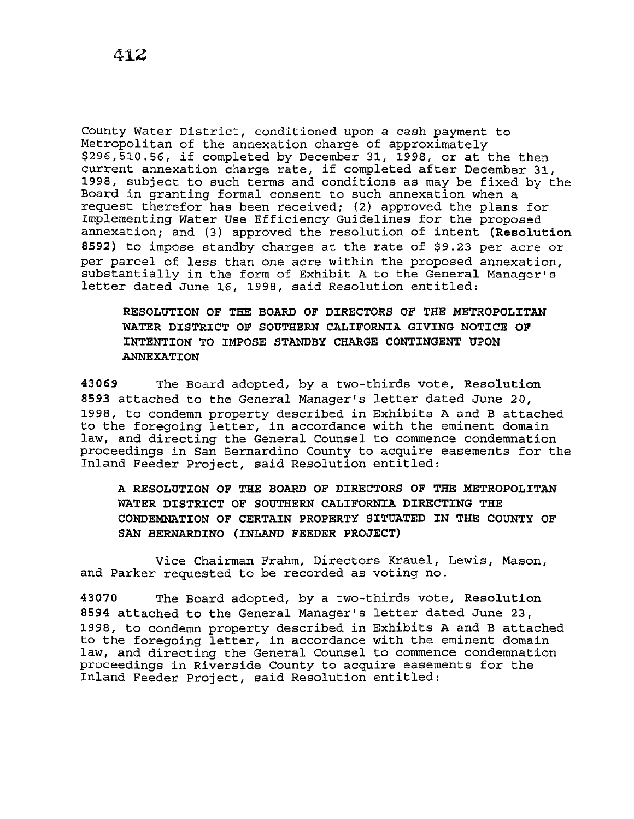County Water District, conditioned upon a cash payment to Metropolitan of the annexation charge of approximately \$296,510.56, if completed by December 31, 1998, or at the then provision, if completed by becember 31, 1998, Of at the then<br>current annexation charge rate, if completed after December 31, 1998, subject to such terms and conditions as may be fixed by the Board in granting formal consent to such annexation when a request therefor has been received; (2) approved the plans for Implementing Water Use Efficiency Guidelines for the proposed annexation; and (3) approved the resolution of intent **(Resolution 8592)** to impose standby charges at the rate of \$9.23 per acre or per parcel of less than one acre within the proposed annexation, substantially in the form of Exhibit A to the General Manager's letter dated June 16, 1998, said Resolution entitled:

**RESOLUTION OF THE BOARD OF DIRECTORS OF THE METROPOLITAN WATER DISTRICT OF SOUTHERN CALIFORNIA GIVING NOTICE OF INTENTION TO IMPOSE STANDBY CHARGE CONTINGENT UPON ANNEXATION** 

**43069** The Board adopted, by a two-thirds vote, **Resolution <sup>8593</sup>**attached to the General Manager's letter dated June 20, 1998, to condemn property described in Exhibits A and B attached to the foregoing letter, in accordance with the eminent domain law, and directing the General Counsel to commence condemnation proceedings in San Bernardino County to acquire easements for the Inland Feeder Project, said Resolution entitled:

**A RESOLUTION OF THE BOARD OF DIRECTORS OF THE METROPOLITAN WATER DISTRICT OF SOUTHERN CALIFORNIA DIRECTING THE CONDEMNATION OF CERTAIN PROPERTY SITUATED IN THE COUNTY OF SAN BERNARDINO (INLAND FEEDER PROJECT)** 

Vice Chairman Frahm, Directors Krauel, Lewis, Mason, and Parker requested to be recorded as voting no.

**43070** The Board adopted, by a two-thirds vote, **Resolution <sup>8594</sup>**attached to the General Manager's letter dated June 23, 1998, to condemn property described in Exhibits A and B attached to the foregoing letter, in accordance with the eminent domain law, and directing the General Counsel to commence condemnation proceedings in Riverside County to acquire easements for the Inland Feeder Project, said Resolution entitled: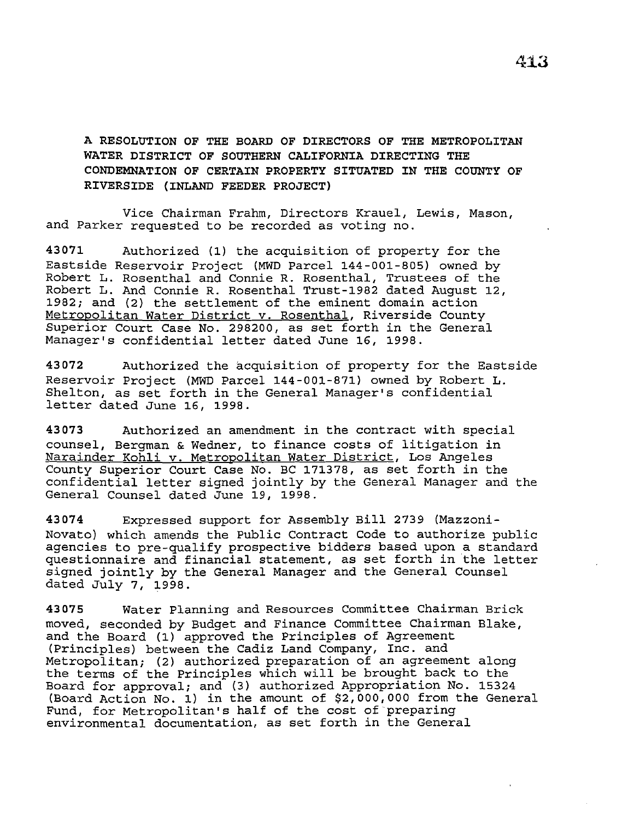**A RESOLUTION OF THE BOARD OF DIRECTORS OF THE METROPOLITAN WATER DISTRICT OF SOUTHERN CALIFORNIA DIRECTING THE CONDEMNATION OF CERTAIN PROPERTY SITUATED IN THE COUNTY OF RIVERSIDE (INLAND FEEDER PROJECT)** 

Vice Chairman Frahm, Directors Krauel, Lewis, Mason, and Parker requested to be recorded as voting no.

**43071** Authorized (1) the acquisition of property for the Eastside Reservoir Project (MWD Parcel 144-001-805) owned by Robert L. Rosenthal and Connie R. Rosenthal, Trustees of the Robert L. And Connie R. Rosenthal Trust-1982 dated August 12, 1982; and (2) the settlement of the eminent domain action Metropolitan Water District v. Rosenthal, Riverside County Superior Court Case No. 298200, as set forth in the General Manager's confidential letter dated June 16, 1998.

**43072** Authorized the acquisition of property for the Eastside Reservoir Project (MWD Parcel 144-001-871) owned by Robert L. Shelton, as set forth in the General Manager's confidential letter dated June 16, 1998.

**43073** Authorized an amendment in the contract with special counsel, Bergman & Wedner, to finance costs of litigation in Narainder Kohli v. Metropolitan Water District, Los Angeles County Superior Court Case No. BC 171378, as set forth in the confidential letter signed jointly by the General Manager and the General Counsel dated June 19, 1998.

**43074** Expressed support for Assembly Bill 2739 (Mazzoni-Novato) which amends the Public Contract Code to authorize public agencies to pre-qualify prospective bidders based upon a standard questionnaire and financial statement, as set forth in the letter signed jointly by the General Manager and the General Counsel dated July 7, 1998.

**43075** Water Planning and Resources Committee Chairman Brick moved, seconded by Budget and Finance Committee Chairman Blake, and the Board (1) approved the Principles of Agreement (Principles) between the Cadiz Land Company, Inc. and Metropolitan; (2) authorized preparation of an agreement along the terms of the Principles which will be brought back to the Board for approval; and (3) authorized Appropriation No. 15324 (Board Action No. 1) in the amount of \$2,000,000 from the General Fund, for Metropolitan's half of the cost of preparing environmental documentation, as set forth in the General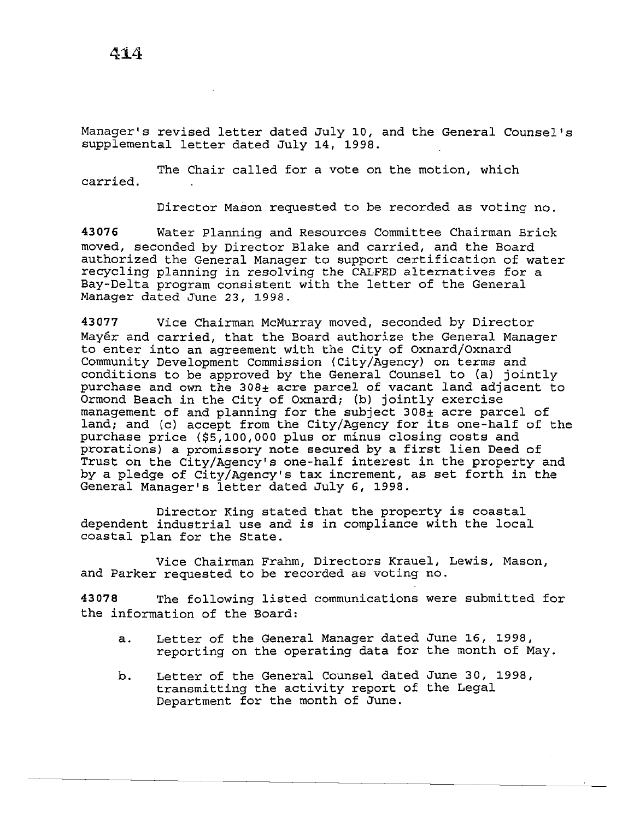Manager's revised letter dated July 10, and the General Counsel's supplemental letter dated July 14, 1998.

The Chair called for a vote on the motion, which carried.

Director Mason requested to be recorded as voting no.

43076 Water Planning and Resources Committee Chairman Brick moved, seconded by Director Blake and carried, and the Board authorized the General Manager to support certification of water recycling planning in resolving the CALFED alternatives for a Bay-Delta program consistent with the letter of the General Manager dated June 23, 1998.

43077 Vice Chairman McMurray moved, seconded by Director Mayer and carried, that the Board authorize the General Manager to enter into an agreement with the City of Oxnard/Oxnard Community Development Commission (City/Agency) on terms and conditions to be approved by the General Counsel to (a) jointly purchase and own the 308± acre parcel of vacant land adjacent to Ormond Beach in the City of Oxnard; (b) jointly exercise management of and planning for the subject 308± acre parcel of land; and (c) accept from the City/Agency for its one-half of the purchase price (\$5,100,000 plus or minus closing costs and prorations) a promissory note secured by a first lien Deed of Trust on the City/Agency's one-half interest in the property and by a pledge of City/Agency's tax increment, as set forth in the General Manager's letter dated July 6, 1998.

Director King stated that the property is coastal dependent industrial use and *is* in compliance with the local coastal plan for the State.

Vice Chairman Frahm, Directors Krauel, Lewis, Mason, and Parker requested to be recorded as voting no.

43078 The following listed communications were submitted for the information of the Board:

- a. Letter of the General Manager dated June 16, 1998, reporting on the operating data for the month of May.
- b. Letter of the General Counsel dated June 30, 1998, transmitting the activity report of the Legal Department for the month of June.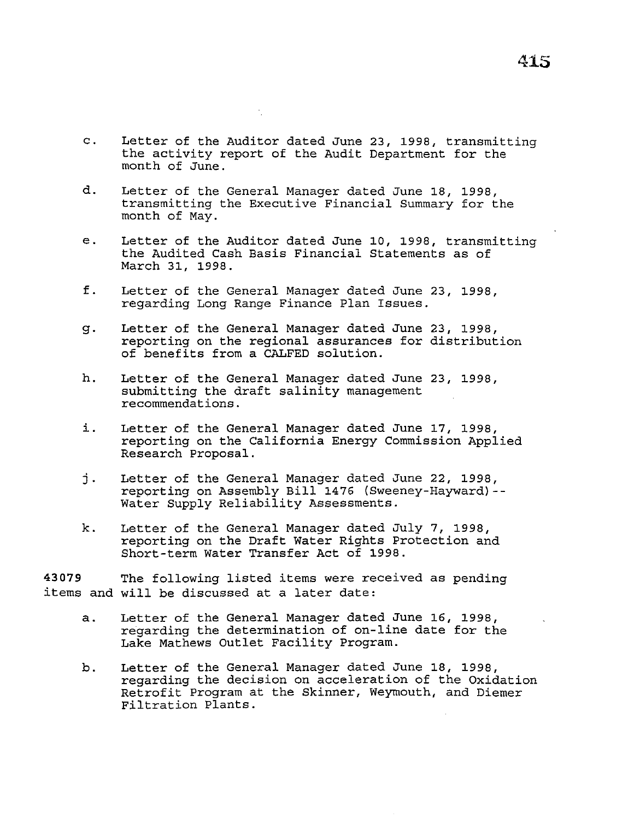- c. Letter of the Auditor dated June 23, 1998, transmitting the activity report of the Audit Department for the month of June.
- d. Letter of the General Manager dated June 18, 1998, transmitting the Executive Financial Summary for the month of May.
- e. Letter of the Auditor dated June 10, 1998, transmitting the Audited Cash Basis Financial Statements as of March 31, 1998.
- f. Letter of the General Manager dated June 23, 1998, regarding Long Range Finance Plan Issues.
- g. Letter of the General Manager dated June 23, 1998, reporting on the regional assurances for distribution of benefits from a CALFED solution.
- h. Letter of the General Manager dated June 23, 1998, submitting the draft salinity management recommendations.
- i. Letter of the General Manager dated June 17, 1998, reporting on the California Energy Commission Applied Research Proposal.
- j. Letter of the General Manager dated June 22, 1998, reporting on Assembly Bill 1476 (Sweeney-Hayward)-- Water Supply Reliability Assessments.
- k. Letter of the General Manager dated July 7, 1998, reporting on the Draft Water Rights Protection and Short-term Water Transfer Act of 1998.

**43079** The following listed items were received as pending items and will be discussed at a later date:

- a. Letter of the General Manager dated June 16, 1998, regarding the determination of on-line date for the Lake Mathews Outlet Facility Program.
- b. Letter of the General Manager dated June 18, 1998, regarding the decision on acceleration of the Oxidation Retrofit Program at the Skinner, Weymouth, and Diemer Filtration Plants.